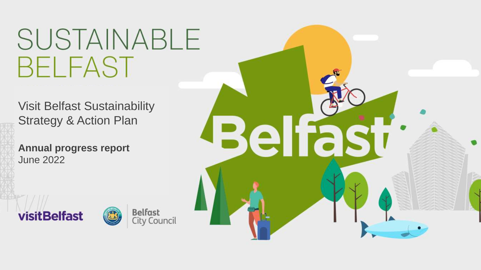# SUSTAINABLE **BELFAST**

ا<br>Visit Relfast Su Strategy & Action Plan Visit Belfast Sustainability

June 2022 **Annual progress report**







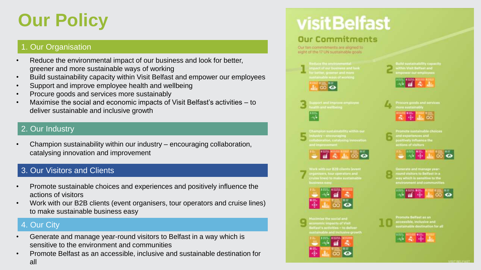# **Our Policy**

## 1. Our Organisation

- Reduce the environmental impact of our business and look for better, greener and more sustainable ways of working
- Build sustainability capacity within Visit Belfast and empower our employees
- Support and improve employee health and wellbeing
- Procure goods and services more sustainably
- Maximise the social and economic impacts of Visit Belfast's activities to deliver sustainable and inclusive growth

## 2. Our Industry

• Champion sustainability within our industry – encouraging collaboration, catalysing innovation and improvement

## 3. Our Visitors and Clients

- Promote sustainable choices and experiences and positively influence the actions of visitors
- Work with our B2B clients (event organisers, tour operators and cruise lines) to make sustainable business easy

## 4. Our City

- Generate and manage year-round visitors to Belfast in a way which is sensitive to the environment and communities
- Promote Belfast as an accessible, inclusive and sustainable destination for all

# **visitBelfast**

## **Our Commitments**

Our ten commitments are aligned to eight of the 17 UN sustainable goals.









wstainable and inclusive growth

|                            | TI |  |
|----------------------------|----|--|
| $\blacktriangleright$<br>œ |    |  |





inerate and manage yea ay which is sensitive to the



romote Belfast as an

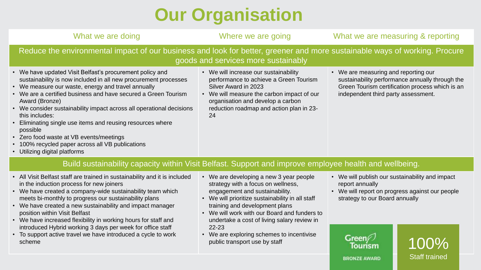# **Our Organisation**

| What we are doing                                                                                                                                                                                                                                                                                                                                                                                                                                                                                                                                           | Where we are going                                                                                                                                                                                                                           | What we are measuring & reporting                                                                                                                                                 |  |
|-------------------------------------------------------------------------------------------------------------------------------------------------------------------------------------------------------------------------------------------------------------------------------------------------------------------------------------------------------------------------------------------------------------------------------------------------------------------------------------------------------------------------------------------------------------|----------------------------------------------------------------------------------------------------------------------------------------------------------------------------------------------------------------------------------------------|-----------------------------------------------------------------------------------------------------------------------------------------------------------------------------------|--|
| Reduce the environmental impact of our business and look for better, greener and more sustainable ways of working. Procure                                                                                                                                                                                                                                                                                                                                                                                                                                  | goods and services more sustainably                                                                                                                                                                                                          |                                                                                                                                                                                   |  |
| We have updated Visit Belfast's procurement policy and<br>sustainability is now included in all new procurement processes<br>We measure our waste, energy and travel annually<br>We are a certified business and have secured a Green Tourism<br>Award (Bronze)<br>We consider sustainability impact across all operational decisions<br>this includes:<br>Eliminating single use items and reusing resources where<br>possible<br>• Zero food waste at VB events/meetings<br>100% recycled paper across all VB publications<br>Utilizing digital platforms | • We will increase our sustainability<br>performance to achieve a Green Tourism<br>Silver Award in 2023<br>• We will measure the carbon impact of our<br>organisation and develop a carbon<br>reduction roadmap and action plan in 23-<br>24 | • We are measuring and reporting our<br>sustainability performance annually through the<br>Green Tourism certification process which is an<br>independent third party assessment. |  |
| Build sustainability capacity within Visit Belfast. Support and improve employee health and wellbeing.                                                                                                                                                                                                                                                                                                                                                                                                                                                      |                                                                                                                                                                                                                                              |                                                                                                                                                                                   |  |
| All Ville Delfast atalf and the characteristic deliberary of the leadership and controlled a consequence of the control of the control of the control of the control of the control of the control of the control of the contr                                                                                                                                                                                                                                                                                                                              |                                                                                                                                                                                                                                              |                                                                                                                                                                                   |  |

- All Visit Belfast staff are trained in sustainability and it is included in the induction process for new joiners
- We have created a company-wide sustainability team which meets bi-monthly to progress our sustainability plans
- We have created a new sustainability and impact manager position within Visit Belfast
- We have increased flexibility in working hours for staff and introduced Hybrid working 3 days per week for office staff
- To support active travel we have introduced a cycle to work scheme
- We are developing a new 3 year people strategy with a focus on wellness, engagement and sustainability.
- We will prioritize sustainability in all staff training and development plans
- We will work with our Board and funders to undertake a cost of living salary review in 22-23
- We are exploring schemes to incentivise public transport use by staff
- We will publish our sustainability and impact report annually
- We will report on progress against our people strategy to our Board annually

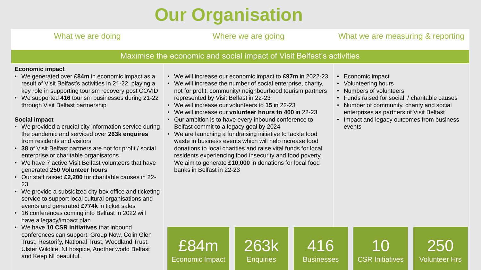# **Our Organisation**

## What we are doing **Where we are going** What we are measuring & reporting

### Maximise the economic and social impact of Visit Belfast's activities

### **Economic impact**

- We generated over **£84m** in economic impact as a result of Visit Belfast's activities in 21-22, playing a key role in supporting tourism recovery post COVID
- We supported **416** tourism businesses during 21-22 through Visit Belfast partnership

### **Social impact**

- We provided a crucial city information service during the pandemic and serviced over **263k enquires**  from residents and visitors
- **38** of Visit Belfast partners are not for profit / social enterprise or charitable organisatons
- We have 7 active Visit Belfast volunteers that have generated **250 Volunteer hours**
- Our staff raised **£2,200** for charitable causes in 22- 23
- We provide a subsidized city box office and ticketing service to support local cultural organisations and events and generated **£774k** in ticket sales
- 16 conferences coming into Belfast in 2022 will have a legacy/impact plan
- We have **10 CSR initiatives** that inbound conferences can support: Group Now, Colin Glen Trust, Restorify, National Trust, Woodland Trust, Ulster Wildlife, NI hospice, Another world Belfast and Keep NI beautiful.
- We will increase our economic impact to **£97m** in 2022-23
- We will increase the number of social enterprise, charity, not for profit, community/ neighbourhood tourism partners represented by Visit Belfast in 22-23
- We will increase our volunteers to **15** in 22-23
- We will increase our **volunteer hours to 400** in 22-23
- Our ambition is to have every inbound conference to Belfast commit to a legacy goal by 2024
- We are launching a fundraising initiative to tackle food waste in business events which will help increase food donations to local charities and raise vital funds for local residents experiencing food insecurity and food poverty. We aim to generate **£10,000** in donations for local food banks in Belfast in 22-23
- Economic impact
- Volunteering hours
- Numbers of volunteers
- Funds raised for social / charitable causes
- Number of community, charity and social enterprises as partners of Visit Belfast
- Impact and legacy outcomes from business events

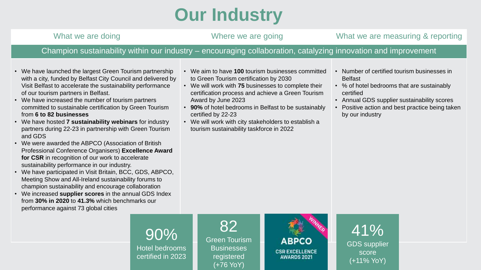# **Our Industry**

What we are doing **Where we are going** What we are measuring & reporting Champion sustainability within our industry – encouraging collaboration, catalyzing innovation and improvement

- We have launched the largest Green Tourism partnership with a city, funded by Belfast City Council and delivered by Visit Belfast to accelerate the sustainability performance of our tourism partners in Belfast.
- We have increased the number of tourism partners committed to sustainable certification by Green Tourism from **6 to 82 businesses**
- We have hosted **7 sustainability webinars** for industry partners during 22-23 in partnership with Green Tourism and GDS
- We were awarded the ABPCO (Association of British Professional Conference Organisers) **Excellence Award for CSR** in recognition of our work to accelerate sustainability performance in our industry.
- We have participated in Visit Britain, BCC, GDS, ABPCO, Meeting Show and All-Ireland sustainability forums to champion sustainability and encourage collaboration
- We increased **supplier scores** in the annual GDS Index from **30% in 2020** to **41.3%** which benchmarks our performance against 73 global cities
- We aim to have **100** tourism businesses committed to Green Tourism certification by 2030
- We will work with **75** businesses to complete their certification process and achieve a Green Tourism Award by June 2023
- **90%** of hotel bedrooms in Belfast to be sustainably certified by 22-23
- We will work with city stakeholders to establish a tourism sustainability taskforce in 2022
- Number of certified tourism businesses in Belfast
- % of hotel bedrooms that are sustainably certified
- Annual GDS supplier sustainability scores
- Positive action and best practice being taken by our industry



90%



41% GDS supplier score (+11% YoY)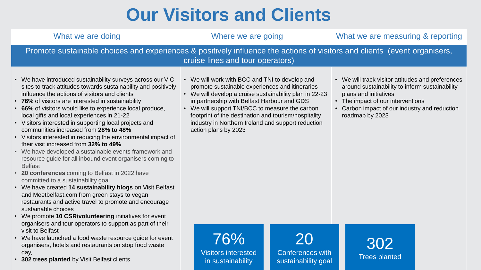# **Our Visitors and Clients**

| What we are doing                                                                                                                                                                                                                                                                                                                                                                                                                                                                                                                                                                                                                                                                                                                                                                                                                                                                                                                                                                                                                                                                                         | Where we are going                                                                                                                                                                                                                                                                                                                                                                                   | What we are measuring & reporting                                                                                                                                                                                                     |  |
|-----------------------------------------------------------------------------------------------------------------------------------------------------------------------------------------------------------------------------------------------------------------------------------------------------------------------------------------------------------------------------------------------------------------------------------------------------------------------------------------------------------------------------------------------------------------------------------------------------------------------------------------------------------------------------------------------------------------------------------------------------------------------------------------------------------------------------------------------------------------------------------------------------------------------------------------------------------------------------------------------------------------------------------------------------------------------------------------------------------|------------------------------------------------------------------------------------------------------------------------------------------------------------------------------------------------------------------------------------------------------------------------------------------------------------------------------------------------------------------------------------------------------|---------------------------------------------------------------------------------------------------------------------------------------------------------------------------------------------------------------------------------------|--|
| Promote sustainable choices and experiences & positively influence the actions of visitors and clients (event organisers,<br>cruise lines and tour operators)                                                                                                                                                                                                                                                                                                                                                                                                                                                                                                                                                                                                                                                                                                                                                                                                                                                                                                                                             |                                                                                                                                                                                                                                                                                                                                                                                                      |                                                                                                                                                                                                                                       |  |
| We have introduced sustainability surveys across our VIC<br>sites to track attitudes towards sustainability and positively<br>influence the actions of visitors and clients<br><b>76%</b> of visitors are interested in sustainability<br>66% of visitors would like to experience local produce,<br>local gifts and local experiences in 21-22<br>Visitors interested in supporting local projects and<br>communities increased from 28% to 48%<br>Visitors interested in reducing the environmental impact of<br>their visit increased from 32% to 49%<br>We have developed a sustainable events framework and<br>resource guide for all inbound event organisers coming to<br><b>Belfast</b><br>20 conferences coming to Belfast in 2022 have<br>committed to a sustainability goal<br>We have created 14 sustainability blogs on Visit Belfast<br>and Meetbelfast.com from green stays to vegan<br>restaurants and active travel to promote and encourage<br>sustainable choices<br>We promote 10 CSR/volunteering initiatives for event<br>organisers and tour operators to support as part of their | • We will work with BCC and TNI to develop and<br>promote sustainable experiences and itineraries<br>• We will develop a cruise sustainability plan in 22-23<br>in partnership with Belfast Harbour and GDS<br>• We will support TNI/BCC to measure the carbon<br>footprint of the destination and tourism/hospitality<br>industry in Northern Ireland and support reduction<br>action plans by 2023 | • We will track visitor attitudes and preferences<br>around sustainability to inform sustainability<br>plans and initiatives<br>• The impact of our interventions<br>• Carbon impact of our industry and reduction<br>roadmap by 2023 |  |
| visit to Belfast<br>We have launched a food waste resource guide for event<br>organisers, hotels and restaurants on stop food waste                                                                                                                                                                                                                                                                                                                                                                                                                                                                                                                                                                                                                                                                                                                                                                                                                                                                                                                                                                       |                                                                                                                                                                                                                                                                                                                                                                                                      |                                                                                                                                                                                                                                       |  |

• **302 trees planted** by Visit Belfast clients

day,

Visitors interested in sustainability

Conferences with sustainability goal

Trees planted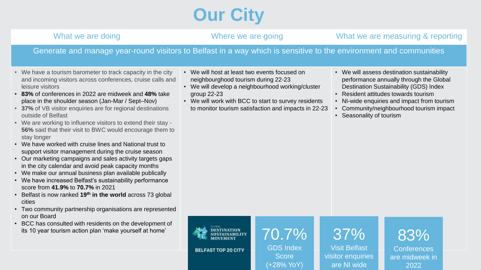# **Our City**

## What we are doing **Where we are going** What we are measuring & reporting

## Generate and manage year-round visitors to Belfast in a way which is sensitive to the environment and communities

- We have a tourism barometer to track capacity in the city and incoming visitors across conferences, cruise calls and leisure visitors
- **83%** of conferences in 2022 are midweek and **48%** take place in the shoulder season (Jan-Mar / Sept–Nov)
- **37%** of VB visitor enquiries are for regional destinations outside of Belfast
- We are working to influence visitors to extend their stay **56%** said that their visit to BWC would encourage them to stay longer
- We have worked with cruise lines and National trust to support visitor management during the cruise season
- Our marketing campaigns and sales activity targets gaps in the city calendar and avoid peak capacity months
- We make our annual business plan available publically
- We have increased Belfast's sustainability performance score from **41.9%** to **70.7%** in 2021
- Belfast is now ranked **19th in the world** across 73 global cities
- Two community partnership organisations are represented on our Board
- BCC has consulted with residents on the development of its 10 year tourism action plan 'make yourself at home'
- We will host at least two events focused on neighbourghood tourism during 22-23
- We will develop a neighbourhood working/cluster group 22-23
- We will work with BCC to start to survey residents to monitor tourism satisfaction and impacts in 22-23
- We will assess destination sustainability performance annually through the Global Destination Sustainability (GDS) Index
- Resident attitudes towards tourism
- NI-wide enquiries and impact from tourism
- Community/neighbourhood tourism impact
- Seasonality of tourism



70.7% GDS Index **Score** (+28% YoY)



Visit Belfast visitor enquiries are NI wide

83% **Conferences** are midweek in 2022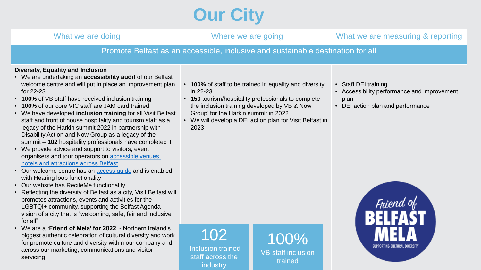# **Our City**

| What we are doing                                                                                                                                                                                                                                                                                                                                                                                                                                                                                                                                                                                                                                                                                                                                                                                                                                                                                                                                                                                                                                                                                                                                                     | Where we are going                                                                                                                                                                                                                                                                     | What we are measuring & reporting                                                                                             |
|-----------------------------------------------------------------------------------------------------------------------------------------------------------------------------------------------------------------------------------------------------------------------------------------------------------------------------------------------------------------------------------------------------------------------------------------------------------------------------------------------------------------------------------------------------------------------------------------------------------------------------------------------------------------------------------------------------------------------------------------------------------------------------------------------------------------------------------------------------------------------------------------------------------------------------------------------------------------------------------------------------------------------------------------------------------------------------------------------------------------------------------------------------------------------|----------------------------------------------------------------------------------------------------------------------------------------------------------------------------------------------------------------------------------------------------------------------------------------|-------------------------------------------------------------------------------------------------------------------------------|
|                                                                                                                                                                                                                                                                                                                                                                                                                                                                                                                                                                                                                                                                                                                                                                                                                                                                                                                                                                                                                                                                                                                                                                       | Promote Belfast as an accessible, inclusive and sustainable destination for all                                                                                                                                                                                                        |                                                                                                                               |
| <b>Diversity, Equality and Inclusion</b><br>• We are undertaking an accessibility audit of our Belfast<br>welcome centre and will put in place an improvement plan<br>for $22-23$<br>• 100% of VB staff have received inclusion training<br>• 100% of our core VIC staff are JAM card trained<br>• We have developed inclusion training for all Visit Belfast<br>staff and front of house hospitality and tourism staff as a<br>legacy of the Harkin summit 2022 in partnership with<br>Disability Action and Now Group as a legacy of the<br>summit - 102 hospitality professionals have completed it<br>• We provide advice and support to visitors, event<br>organisers and tour operators on accessible venues,<br>hotels and attractions across Belfast<br>• Our welcome centre has an access guide and is enabled<br>with Hearing loop functionality<br>• Our website has ReciteMe functionality<br>• Reflecting the diversity of Belfast as a city, Visit Belfast will<br>promotes attractions, events and activities for the<br>LGBTQI+ community, supporting the Belfast Agenda<br>vision of a city that is "welcoming, safe, fair and inclusive<br>for all" | • 100% of staff to be trained in equality and diversity<br>in 22-23<br>• 150 tourism/hospitality professionals to complete<br>the inclusion training developed by VB & Now<br>Group' for the Harkin summit in 2022<br>• We will develop a DEI action plan for Visit Belfast in<br>2023 | • Staff DEI training<br>• Accessibility performance and improvement<br>plan<br>• DEI action plan and performance<br>Friend of |

- vision of a city that is "welcoming, safe, fair and inclusive for all"
- We are a **'Friend of Mela' for 2022**  Northern Ireland's biggest authentic celebration of cultural diversity and work for promote culture and diversity within our company and across our marketing, communications and visitor servicing

Inclusion trained staff across the industry 100% VB staff inclusion trained

SUPPORTING CULTURAL DIVERSITY

102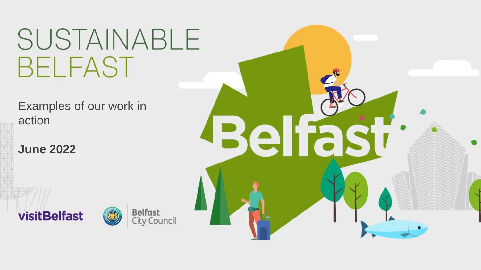# SUSTAINABLE **BELFAST**

 $\overline{\mathsf{F}}$  ramples of or action<br>action Examples of our work in

 $\mathbb{E}[\mathcal{E}^{\text{max}}(t)]$ 

Operational **June 2022**





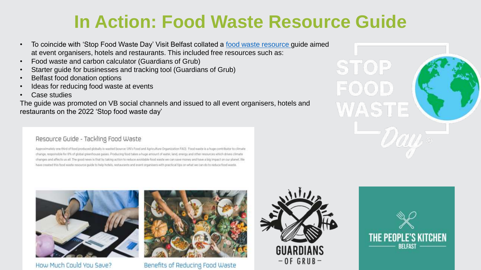# **In Action: Food Waste Resource Guide**

- To coincide with 'Stop Food Waste Day' Visit Belfast collated a [food waste resource](https://meetbelfast.com/food-waste) guide aimed at event organisers, hotels and restaurants. This included free resources such as:
- Food waste and carbon calculator (Guardians of Grub)
- Starter guide for businesses and tracking tool (Guardians of Grub)
- Belfast food donation options
- Ideas for reducing food waste at events
- Case studies

The guide was promoted on VB social channels and issued to all event organisers, hotels and restaurants on the 2022 'Stop food waste day'

## Resource Guide - Tackling Food Waste

Approximately one third of food produced globally is wasted (source: UN's Food and Agriculture Organization FAO). Food waste is a huge contributor to climate change, responsible for 8% of global greenhouse gases. Producing food takes a huge amount of water, land, energy and other resources which drives climate changes and affects us all. The good news is that by taking action to reduce avoidable food waste we can save money and have a big impact on our planet. We have created this food waste resource guide to help hotels, restaurants and event organisers with practical tips on what we can do to reduce food waste.



How Much Could You Save?



Benefits of Reducing Food Waste





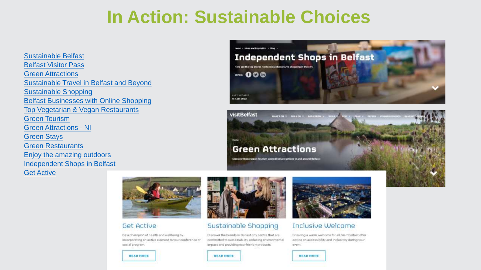# **In Action: Sustainable Choices**

**Sustainable Belfast Belfast Visitor Pass Green Attractions Sustainable Travel in Belfast and Beyond Sustainable Shopping Belfast Businesses with Online Shopping Top Vegetarian & Vegan Restaurants Green Tourism Green Attractions - NI Green Stays Green Restaurants** Enjoy the amazing outdoors **Independent Shops in Belfast Get Active** 





Discover these Green Tourism accredited attractions in and around Belfast



### **Get Active**

Be a champion of health and wellbeing by incorporating an active element to your conference or social program.



### Sustainable Shopping

**READ MORE** 

visitBelfast

Discover the brands in Belfast city centre that are committed to sustainability, reducing environmental impact and providing eco-friendly products.



### Inclusive Welcome

Ensuring a warm welcome for all, Visit Belfast offer advice on accessibility and inclusivity during your event.



### **READ MORE**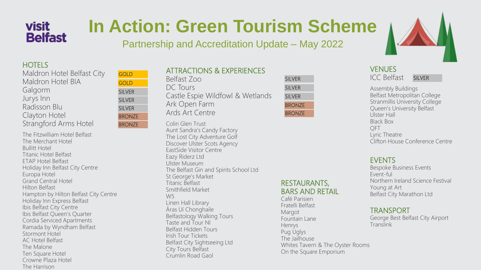# **visit Belfast**

# **In Action: Green Tourism Scheme**

Partnership and Accreditation Update – May 2022

### **HOTELS**

| Maldron Hotel Belfast City   |
|------------------------------|
| Maldron Hotel BIA            |
| Galgorm                      |
| Jurys Inn                    |
| Radisson Blu                 |
| Clayton Hotel                |
| <b>Strangford Arms Hotel</b> |
|                              |

The Fitzwilliam Hotel Belfast The Merchant Hotel Bullitt Hotel Titanic Hotel Belfast ETAP Hotel Belfast Holiday Inn Belfast City Centre Europa Hotel Grand Central Hotel Hilton Belfast Hampton by Hilton Belfast City Centre Holiday Inn Express Belfast Ibis Belfast City Centre Ibis Belfast Queen's Quarter Cordia Serviced Apartments Ramada by Wyndham Belfast Stormont Hotel AC Hotel Belfast The Malone Ten Square Hotel Crowne Plaza Hotel The Harrison

| GOLD          |
|---------------|
| GOLD          |
| SILVER        |
| <b>SILVER</b> |
| <b>SILVER</b> |
| <b>BRONZE</b> |
| BRONZE        |

| <b>ATTRACTIONS &amp; EXPERIENCES</b> |
|--------------------------------------|
| Belfast Zoo                          |
| DC Tours                             |
| Castle Espie Wildfowl & Wetlands     |
| Ark Open Farm                        |
| Ards Art Centre                      |

Colin Glen Trust Aunt Sandra's Candy Factory The Lost City Adventure Golf Discover Ulster Scots Agency EastSide Visitor Centre Eazy Riderz Ltd Ulster Museum The Belfast Gin and Spirits School Ltd St George's Market Titanic Belfast Smithfield Market W5 Linen Hall Library Áras Uí Chonghaile Belfastology Walking Tours Taste and Tour NI Belfast Hidden Tours Irish Tour Tickets Belfast City Sightseeing Ltd City Tours Belfast Crumlin Road Gaol

| <b>SILVER</b> |  |
|---------------|--|
| <b>SILVER</b> |  |
| <b>SILVER</b> |  |
| <b>BRONZE</b> |  |
| <b>BRONZE</b> |  |

## RESTAURANTS, BARS AND RETAIL

Café Parisien Fratelli Belfast Margot Fountain Lane Henrys Pug Uglys The Jailhouse Whites Tavern & The Oyster Rooms On the Square Emporium

## **VENUES**

ICC Belfast

SILVER

Assembly Buildings Belfast Metropolitan College Stranmillis University College Queen's University Belfast Ulster Hall Black Box QFT Lyric Theatre Clifton House Conference Centre

## EVENTS

Bespoke Business Events Event-ful Northern Ireland Science Festival Young at Art Belfast City Marathon Ltd

### TRANSPORT

George Best Belfast City Airport **Translink**